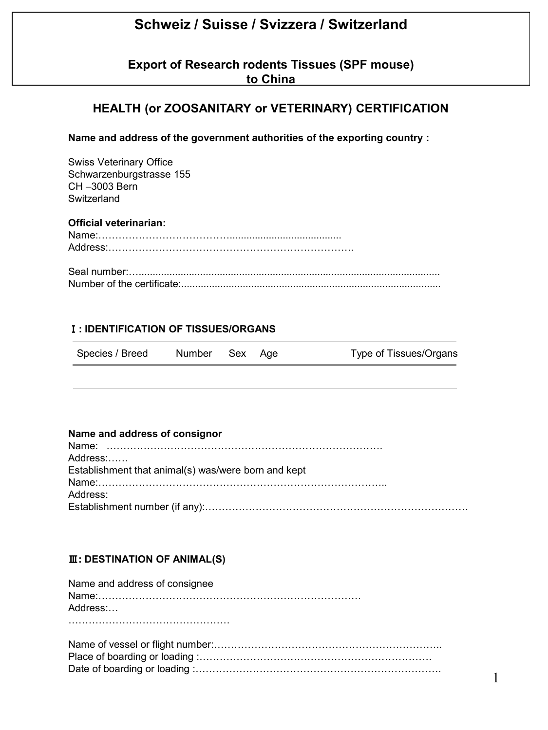# **Schweiz / Suisse / Svizzera / Switzerland**

**Export of Research rodents Tissues (SPF mouse) to China**

# **HEALTH (or ZOOSANITARY or VETERINARY) CERTIFICATION**

**Name and address of the government authorities of the exporting country :**

Swiss Veterinary Office Schwarzenburgstrasse 155 CH –3003 Bern **Switzerland** 

## **Official veterinarian:**

## Ⅰ**: IDENTIFICATION OF TISSUES/ORGANS**

| Species / Breed | Number Sex Age |  | Type of Tissues/Organs |
|-----------------|----------------|--|------------------------|
|                 |                |  |                        |

#### **Name and address of consignor**

| Address:                                            |  |
|-----------------------------------------------------|--|
| Establishment that animal(s) was/were born and kept |  |
|                                                     |  |
| Address:                                            |  |
|                                                     |  |

## Ⅲ**: DESTINATION OF ANIMAL(S)**

| Name and address of consignee |
|-------------------------------|
|                               |
| Address:                      |
|                               |